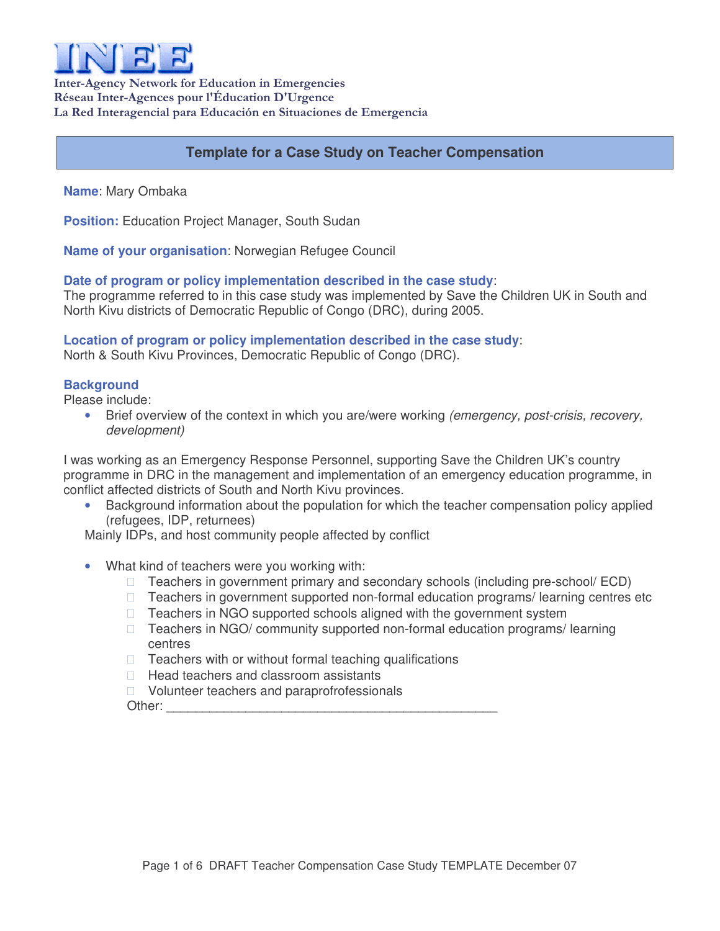

Inter-Agency Network for Education in Emergencies Réseau Inter-Agences pour l'Éducation D'Urgence La Red Interagencial para Educación en Situaciones de Emergencia

# **Template for a Case Study on Teacher Compensation**

**Name**: Mary Ombaka

**Position:** Education Project Manager, South Sudan

**Name of your organisation**: Norwegian Refugee Council

### **Date of program or policy implementation described in the case study**:

The programme referred to in this case study was implemented by Save the Children UK in South and North Kivu districts of Democratic Republic of Congo (DRC), during 2005.

## **Location of program or policy implementation described in the case study**:

North & South Kivu Provinces, Democratic Republic of Congo (DRC).

### **Background**

Please include:

• Brief overview of the context in which you are/were working *(emergency, post-crisis, recovery, development)*

I was working as an Emergency Response Personnel, supporting Save the Children UK's country programme in DRC in the management and implementation of an emergency education programme, in conflict affected districts of South and North Kivu provinces.

• Background information about the population for which the teacher compensation policy applied (refugees, IDP, returnees)

Mainly IDPs, and host community people affected by conflict

• What kind of teachers were you working with:

 Teachers in government primary and secondary schools (including pre-school/ ECD) Teachers in government supported non-formal education programs/ learning centres etc Teachers in NGO supported schools aligned with the government system Teachers in NGO/ community supported non-formal education programs/ learning centres Teachers with or without formal teaching qualifications Head teachers and classroom assistants

Volunteer teachers and paraprofrofessionals

Other: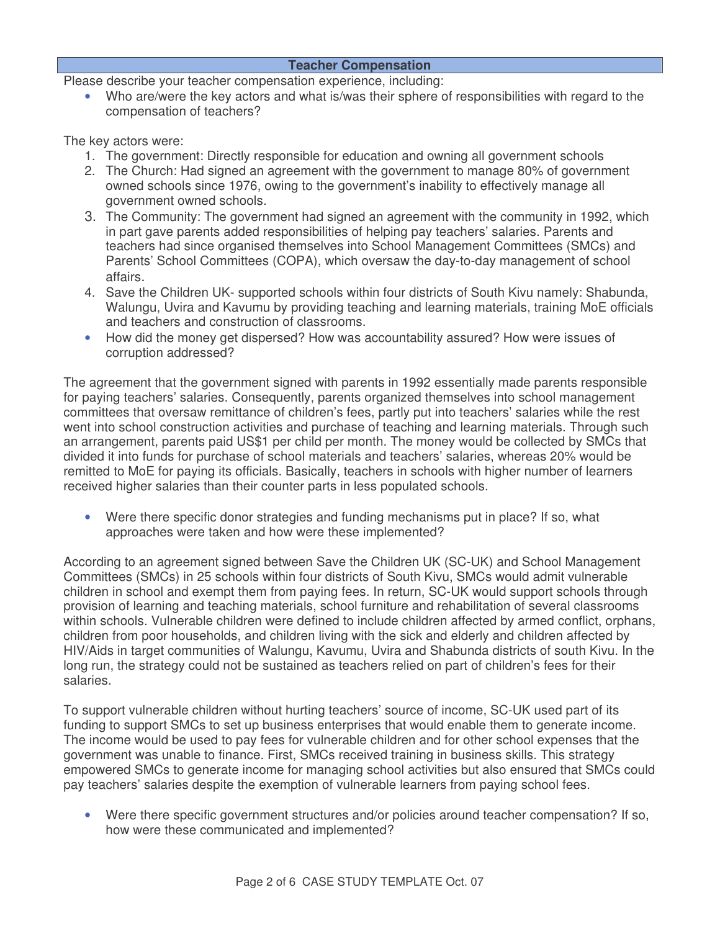### **Teacher Compensation**

Please describe your teacher compensation experience, including:

• Who are/were the key actors and what is/was their sphere of responsibilities with regard to the compensation of teachers?

The key actors were:

- 1. The government: Directly responsible for education and owning all government schools
- 2. The Church: Had signed an agreement with the government to manage 80% of government owned schools since 1976, owing to the government's inability to effectively manage all government owned schools.
- 3. The Community: The government had signed an agreement with the community in 1992, which in part gave parents added responsibilities of helping pay teachers' salaries. Parents and teachers had since organised themselves into School Management Committees (SMCs) and Parents' School Committees (COPA), which oversaw the day-to-day management of school affairs.
- 4. Save the Children UK- supported schools within four districts of South Kivu namely: Shabunda, Walungu, Uvira and Kavumu by providing teaching and learning materials, training MoE officials and teachers and construction of classrooms.
- How did the money get dispersed? How was accountability assured? How were issues of corruption addressed?

The agreement that the government signed with parents in 1992 essentially made parents responsible for paying teachers' salaries. Consequently, parents organized themselves into school management committees that oversaw remittance of children's fees, partly put into teachers' salaries while the rest went into school construction activities and purchase of teaching and learning materials. Through such an arrangement, parents paid US\$1 per child per month. The money would be collected by SMCs that divided it into funds for purchase of school materials and teachers' salaries, whereas 20% would be remitted to MoE for paying its officials. Basically, teachers in schools with higher number of learners received higher salaries than their counter parts in less populated schools.

• Were there specific donor strategies and funding mechanisms put in place? If so, what approaches were taken and how were these implemented?

According to an agreement signed between Save the Children UK (SC-UK) and School Management Committees (SMCs) in 25 schools within four districts of South Kivu, SMCs would admit vulnerable children in school and exempt them from paying fees. In return, SC-UK would support schools through provision of learning and teaching materials, school furniture and rehabilitation of several classrooms within schools. Vulnerable children were defined to include children affected by armed conflict, orphans, children from poor households, and children living with the sick and elderly and children affected by HIV/Aids in target communities of Walungu, Kavumu, Uvira and Shabunda districts of south Kivu. In the long run, the strategy could not be sustained as teachers relied on part of children's fees for their salaries.

To support vulnerable children without hurting teachers' source of income, SC-UK used part of its funding to support SMCs to set up business enterprises that would enable them to generate income. The income would be used to pay fees for vulnerable children and for other school expenses that the government was unable to finance. First, SMCs received training in business skills. This strategy empowered SMCs to generate income for managing school activities but also ensured that SMCs could pay teachers' salaries despite the exemption of vulnerable learners from paying school fees.

• Were there specific government structures and/or policies around teacher compensation? If so, how were these communicated and implemented?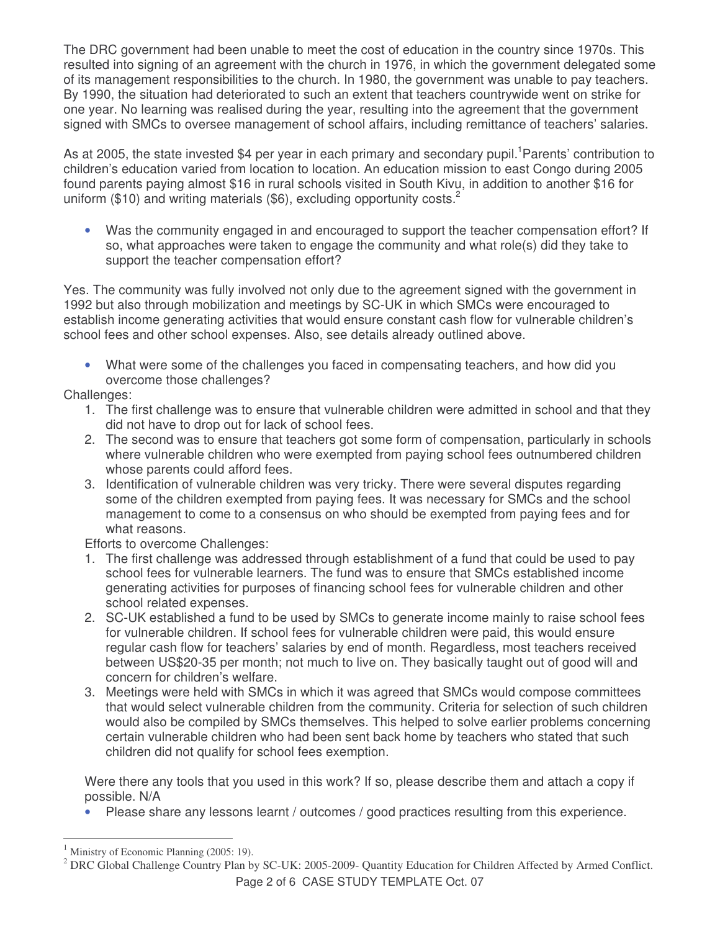The DRC government had been unable to meet the cost of education in the country since 1970s. This resulted into signing of an agreement with the church in 1976, in which the government delegated some of its management responsibilities to the church. In 1980, the government was unable to pay teachers. By 1990, the situation had deteriorated to such an extent that teachers countrywide went on strike for one year. No learning was realised during the year, resulting into the agreement that the government signed with SMCs to oversee management of school affairs, including remittance of teachers' salaries.

As at 2005, the state invested \$4 per year in each primary and secondary pupil.<sup>1</sup>Parents' contribution to children's education varied from location to location. An education mission to east Congo during 2005 found parents paying almost \$16 in rural schools visited in South Kivu, in addition to another \$16 for uniform (\$10) and writing materials (\$6), excluding opportunity costs.<sup>2</sup>

• Was the community engaged in and encouraged to support the teacher compensation effort? If so, what approaches were taken to engage the community and what role(s) did they take to support the teacher compensation effort?

Yes. The community was fully involved not only due to the agreement signed with the government in 1992 but also through mobilization and meetings by SC-UK in which SMCs were encouraged to establish income generating activities that would ensure constant cash flow for vulnerable children's school fees and other school expenses. Also, see details already outlined above.

• What were some of the challenges you faced in compensating teachers, and how did you overcome those challenges?

Challenges:

- 1. The first challenge was to ensure that vulnerable children were admitted in school and that they did not have to drop out for lack of school fees.
- 2. The second was to ensure that teachers got some form of compensation, particularly in schools where vulnerable children who were exempted from paying school fees outnumbered children whose parents could afford fees.
- 3. Identification of vulnerable children was very tricky. There were several disputes regarding some of the children exempted from paying fees. It was necessary for SMCs and the school management to come to a consensus on who should be exempted from paying fees and for what reasons.

Efforts to overcome Challenges:

- 1. The first challenge was addressed through establishment of a fund that could be used to pay school fees for vulnerable learners. The fund was to ensure that SMCs established income generating activities for purposes of financing school fees for vulnerable children and other school related expenses.
- 2. SC-UK established a fund to be used by SMCs to generate income mainly to raise school fees for vulnerable children. If school fees for vulnerable children were paid, this would ensure regular cash flow for teachers' salaries by end of month. Regardless, most teachers received between US\$20-35 per month; not much to live on. They basically taught out of good will and concern for children's welfare.
- 3. Meetings were held with SMCs in which it was agreed that SMCs would compose committees that would select vulnerable children from the community. Criteria for selection of such children would also be compiled by SMCs themselves. This helped to solve earlier problems concerning certain vulnerable children who had been sent back home by teachers who stated that such children did not qualify for school fees exemption.

Were there any tools that you used in this work? If so, please describe them and attach a copy if possible. N/A

• Please share any lessons learnt / outcomes / good practices resulting from this experience.

Ministry of Economic Planning (2005: 19).

<sup>2</sup> DRC Global Challenge Country Plan by SC-UK: 2005-2009- Quantity Education for Children Affected by Armed Conflict.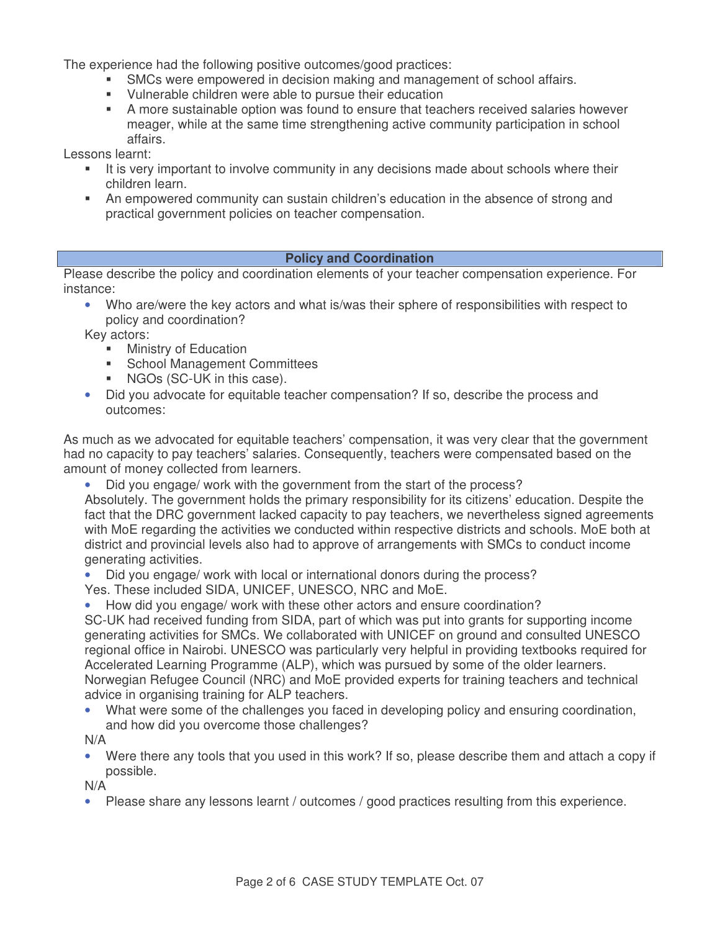The experience had the following positive outcomes/good practices:

- SMCs were empowered in decision making and management of school affairs.
- Vulnerable children were able to pursue their education
- A more sustainable option was found to ensure that teachers received salaries however meager, while at the same time strengthening active community participation in school affairs.

Lessons learnt:

- It is very important to involve community in any decisions made about schools where their children learn.
- An empowered community can sustain children's education in the absence of strong and practical government policies on teacher compensation.

### **Policy and Coordination**

Please describe the policy and coordination elements of your teacher compensation experience. For instance:

• Who are/were the key actors and what is/was their sphere of responsibilities with respect to policy and coordination?

Key actors:

- **Ministry of Education**
- **School Management Committees**
- **NGOs (SC-UK in this case).**
- Did you advocate for equitable teacher compensation? If so, describe the process and outcomes:

As much as we advocated for equitable teachers' compensation, it was very clear that the government had no capacity to pay teachers' salaries. Consequently, teachers were compensated based on the amount of money collected from learners.

• Did you engage/ work with the government from the start of the process?

Absolutely. The government holds the primary responsibility for its citizens' education. Despite the fact that the DRC government lacked capacity to pay teachers, we nevertheless signed agreements with MoE regarding the activities we conducted within respective districts and schools. MoE both at district and provincial levels also had to approve of arrangements with SMCs to conduct income generating activities.

• Did you engage/ work with local or international donors during the process? Yes. These included SIDA, UNICEF, UNESCO, NRC and MoE.

• How did you engage/ work with these other actors and ensure coordination?

SC-UK had received funding from SIDA, part of which was put into grants for supporting income generating activities for SMCs. We collaborated with UNICEF on ground and consulted UNESCO regional office in Nairobi. UNESCO was particularly very helpful in providing textbooks required for Accelerated Learning Programme (ALP), which was pursued by some of the older learners. Norwegian Refugee Council (NRC) and MoE provided experts for training teachers and technical advice in organising training for ALP teachers.

• What were some of the challenges you faced in developing policy and ensuring coordination, and how did you overcome those challenges?

N/A

• Were there any tools that you used in this work? If so, please describe them and attach a copy if possible.

N/A

• Please share any lessons learnt / outcomes / good practices resulting from this experience.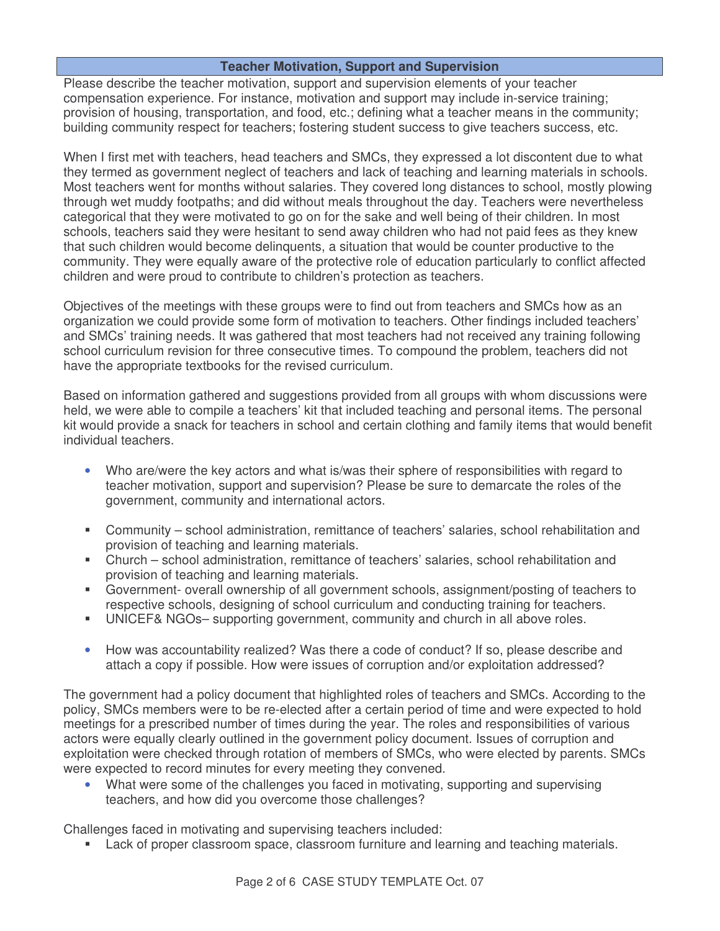### **Teacher Motivation, Support and Supervision**

Please describe the teacher motivation, support and supervision elements of your teacher compensation experience. For instance, motivation and support may include in-service training; provision of housing, transportation, and food, etc.; defining what a teacher means in the community; building community respect for teachers; fostering student success to give teachers success, etc.

When I first met with teachers, head teachers and SMCs, they expressed a lot discontent due to what they termed as government neglect of teachers and lack of teaching and learning materials in schools. Most teachers went for months without salaries. They covered long distances to school, mostly plowing through wet muddy footpaths; and did without meals throughout the day. Teachers were nevertheless categorical that they were motivated to go on for the sake and well being of their children. In most schools, teachers said they were hesitant to send away children who had not paid fees as they knew that such children would become delinquents, a situation that would be counter productive to the community. They were equally aware of the protective role of education particularly to conflict affected children and were proud to contribute to children's protection as teachers.

Objectives of the meetings with these groups were to find out from teachers and SMCs how as an organization we could provide some form of motivation to teachers. Other findings included teachers' and SMCs' training needs. It was gathered that most teachers had not received any training following school curriculum revision for three consecutive times. To compound the problem, teachers did not have the appropriate textbooks for the revised curriculum.

Based on information gathered and suggestions provided from all groups with whom discussions were held, we were able to compile a teachers' kit that included teaching and personal items. The personal kit would provide a snack for teachers in school and certain clothing and family items that would benefit individual teachers.

- Who are/were the key actors and what is/was their sphere of responsibilities with regard to teacher motivation, support and supervision? Please be sure to demarcate the roles of the government, community and international actors.
- Community school administration, remittance of teachers' salaries, school rehabilitation and provision of teaching and learning materials.
- Church school administration, remittance of teachers' salaries, school rehabilitation and provision of teaching and learning materials.
- Government- overall ownership of all government schools, assignment/posting of teachers to respective schools, designing of school curriculum and conducting training for teachers.
- UNICEF& NGOs– supporting government, community and church in all above roles.
- How was accountability realized? Was there a code of conduct? If so, please describe and attach a copy if possible. How were issues of corruption and/or exploitation addressed?

The government had a policy document that highlighted roles of teachers and SMCs. According to the policy, SMCs members were to be re-elected after a certain period of time and were expected to hold meetings for a prescribed number of times during the year. The roles and responsibilities of various actors were equally clearly outlined in the government policy document. Issues of corruption and exploitation were checked through rotation of members of SMCs, who were elected by parents. SMCs were expected to record minutes for every meeting they convened.

• What were some of the challenges you faced in motivating, supporting and supervising teachers, and how did you overcome those challenges?

Challenges faced in motivating and supervising teachers included:

Lack of proper classroom space, classroom furniture and learning and teaching materials.